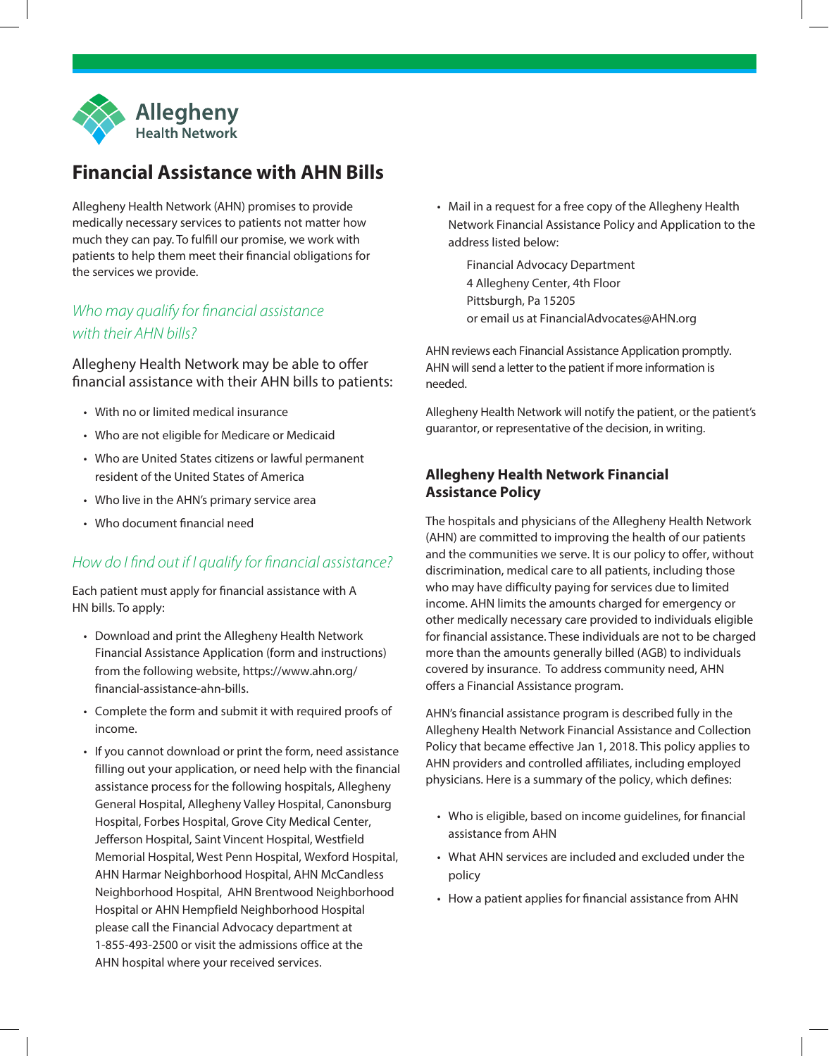

# **Financial Assistance with AHN Bills**

Allegheny Health Network (AHN) promises to provide medically necessary services to patients not matter how much they can pay. To fulfill our promise, we work with patients to help them meet their financial obligations for the services we provide.

### *Who may qualify for financial assistance with their AHN bills?*

Allegheny Health Network may be able to offer financial assistance with their AHN bills to patients:

- With no or limited medical insurance
- Who are not eligible for Medicare or Medicaid
- Who are United States citizens or lawful permanent resident of the United States of America
- Who live in the AHN's primary service area
- Who document financial need

#### *How do I find out if I qualify for financial assistance?*

Each patient must apply for financial assistance with A HN bills. To apply:

- Download and print the Allegheny Health Network Financial Assistance Application (form and instructions) from the following website, https://www.ahn.org/ financial-assistance-ahn-bills.
- Complete the form and submit it with required proofs of income.
- If you cannot download or print the form, need assistance filling out your application, or need help with the financial assistance process for the following hospitals, Allegheny General Hospital, Allegheny Valley Hospital, Canonsburg Hospital, Forbes Hospital, Grove City Medical Center, Jefferson Hospital, Saint Vincent Hospital, Westfield Memorial Hospital, West Penn Hospital, Wexford Hospital, AHN Harmar Neighborhood Hospital, AHN McCandless Neighborhood Hospital, AHN Brentwood Neighborhood Hospital or AHN Hempfield Neighborhood Hospital please call the Financial Advocacy department at 1-855-493-2500 or visit the admissions office at the AHN hospital where your received services.
- Mail in a request for a free copy of the Allegheny Health Network Financial Assistance Policy and Application to the address listed below:
	- Financial Advocacy Department 4 Allegheny Center, 4th Floor Pittsburgh, Pa 15205 or email us at FinancialAdvocates@AHN.org

AHN reviews each Financial Assistance Application promptly. AHN will send a letter to the patient if more information is needed.

Allegheny Health Network will notify the patient, or the patient's guarantor, or representative of the decision, in writing.

#### **Allegheny Health Network Financial Assistance Policy**

The hospitals and physicians of the Allegheny Health Network (AHN) are committed to improving the health of our patients and the communities we serve. It is our policy to offer, without discrimination, medical care to all patients, including those who may have difficulty paying for services due to limited income. AHN limits the amounts charged for emergency or other medically necessary care provided to individuals eligible for financial assistance. These individuals are not to be charged more than the amounts generally billed (AGB) to individuals covered by insurance. To address community need, AHN offers a Financial Assistance program.

AHN's financial assistance program is described fully in the Allegheny Health Network Financial Assistance and Collection Policy that became effective Jan 1, 2018. This policy applies to AHN providers and controlled affiliates, including employed physicians. Here is a summary of the policy, which defines:

- Who is eligible, based on income guidelines, for financial assistance from AHN
- What AHN services are included and excluded under the policy
- How a patient applies for financial assistance from AHN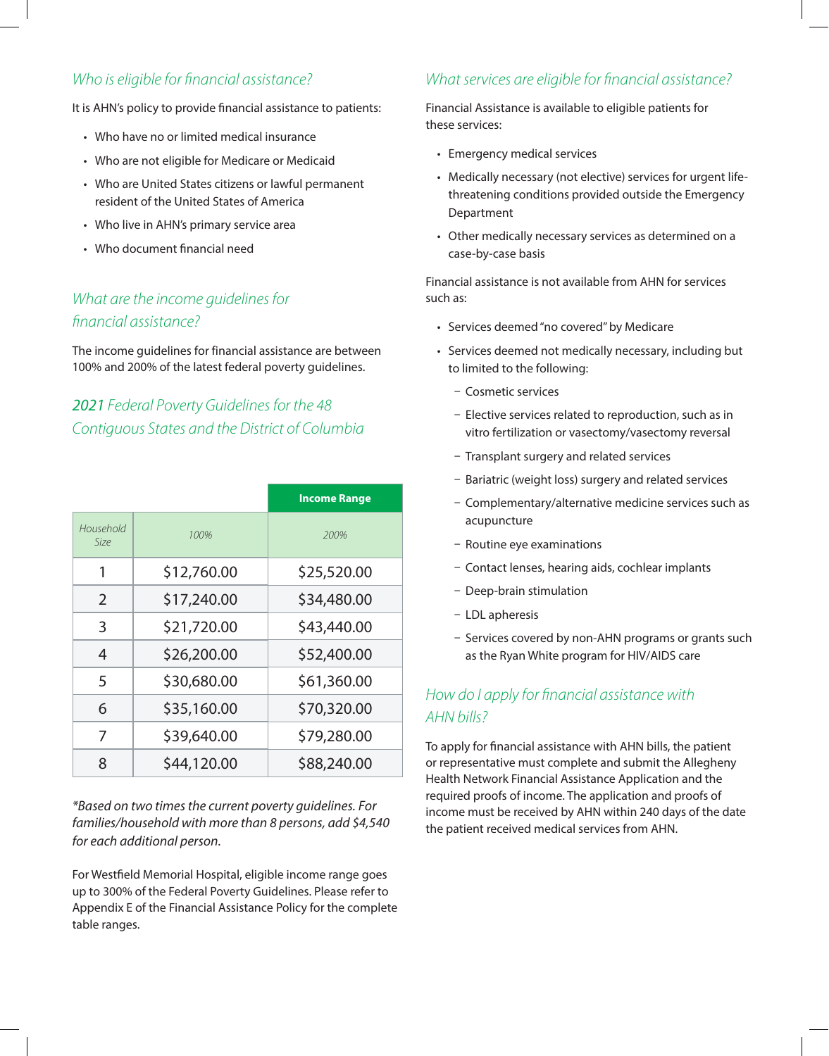### Who is eligible for financial assistance?

It is AHN's policy to provide financial assistance to patients:

- Who have no or limited medical insurance
- Who are not eligible for Medicare or Medicaid
- Who are United States citizens or lawful permanent resident of the United States of America
- Who live in AHN's primary service area
- Who document financial need

### What are the income quidelines for financial assistance?

The income guidelines for financial assistance are between 100% and 200% of the latest federal poverty guidelines.

## 2021 Federal Poverty Guidelines for the 48 Contiguous States and the District of Columbia

|                          |             | <b>Income Range</b> |
|--------------------------|-------------|---------------------|
| Household<br><i>Size</i> | 100%        | 200%                |
| 1                        | \$12,760.00 | \$25,520.00         |
| $\mathcal{P}$            | \$17,240.00 | \$34,480.00         |
| 3                        | \$21,720.00 | \$43,440.00         |
| 4                        | \$26,200.00 | \$52,400.00         |
| 5                        | \$30,680.00 | \$61,360.00         |
| 6                        | \$35,160.00 | \$70,320.00         |
| 7                        | \$39,640.00 | \$79,280.00         |
| 8                        | \$44,120.00 | \$88,240.00         |

\*Based on two times the current poverty guidelines. For families/household with more than 8 persons, add \$4,540 for each additional person.

For Westfield Memorial Hospital, eligible income range goes up to 300% of the Federal Poverty Guidelines. Please refer to Appendix E of the Financial Assistance Policy for the complete table ranges.

### What services are eligible for financial assistance?

Financial Assistance is available to eligible patients for these services:

- Emergency medical services
- Medically necessary (not elective) services for urgent lifethreatening conditions provided outside the Emergency Department
- Other medically necessary services as determined on a case-by-case basis

Financial assistance is not available from AHN for services such as:

- Services deemed "no covered" by Medicare
- Services deemed not medically necessary, including but to limited to the following:
	- Cosmetic services
	- Elective services related to reproduction, such as in vitro fertilization or vasectomy/vasectomy reversal
	- Transplant surgery and related services
	- Bariatric (weight loss) surgery and related services
	- Complementary/alternative medicine services such as acupuncture
	- Routine eye examinations
	- Contact lenses, hearing aids, cochlear implants
	- Deep-brain stimulation
	- LDL apheresis
	- Services covered by non-AHN programs or grants such as the Ryan White program for HIV/AIDS care

### How do I apply for financial assistance with AHN bills?

To apply for financial assistance with AHN bills, the patient or representative must complete and submit the Allegheny Health Network Financial Assistance Application and the required proofs of income. The application and proofs of income must be received by AHN within 240 days of the date the patient received medical services from AHN.